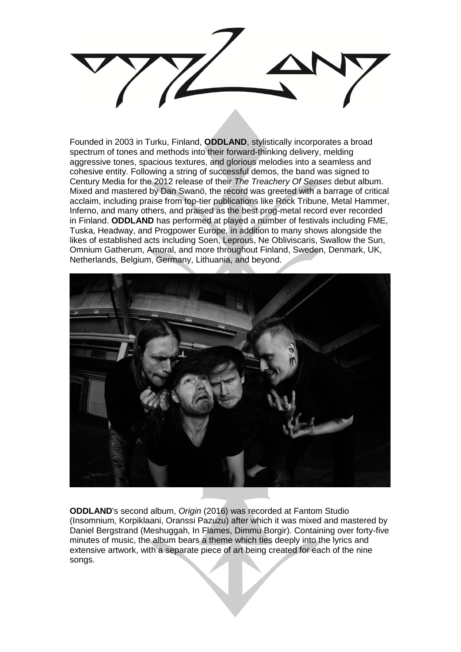

Founded in 2003 in Turku, Finland, **ODDLAND**, stylistically incorporates a broad spectrum of tones and methods into their forward-thinking delivery, melding aggressive tones, spacious textures, and glorious melodies into a seamless and cohesive entity. Following a string of successful demos, the band was signed to Century Media for the 2012 release of their *The Treachery Of Senses* debut album. Mixed and mastered by Dan Swanö, the record was greeted with a barrage of critical acclaim, including praise from top-tier publications like Rock Tribune, Metal Hammer, Inferno, and many others, and praised as the best prog-metal record ever recorded in Finland. **ODDLAND** has performed at played a number of festivals including FME, Tuska, Headway, and Progpower Europe, in addition to many shows alongside the likes of established acts including Soen, Leprous, Ne Obliviscaris, Swallow the Sun, Omnium Gatherum, Amoral, and more throughout Finland, Sweden, Denmark, UK, Netherlands, Belgium, Germany, Lithuania, and beyond.



**ODDLAND**'s second album, *Origin* (2016) was recorded at Fantom Studio (Insomnium, Korpiklaani, Oranssi Pazuzu) after which it was mixed and mastered by Daniel Bergstrand (Meshuggah, In Flames, Dimmu Borgir). Containing over forty-five minutes of music, the album bears a theme which ties deeply into the lyrics and extensive artwork, with a separate piece of art being created for each of the nine songs.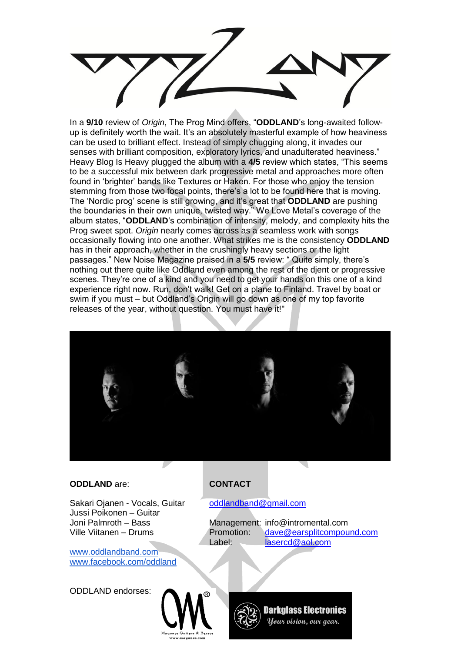

In a **9/10** review of *Origin*, The Prog Mind offers, "**ODDLAND**'s long-awaited followup is definitely worth the wait. It's an absolutely masterful example of how heaviness can be used to brilliant effect. Instead of simply chugging along, it invades our senses with brilliant composition, exploratory lyrics, and unadulterated heaviness." Heavy Blog Is Heavy plugged the album with a **4/5** review which states, "This seems to be a successful mix between dark progressive metal and approaches more often found in 'brighter' bands like Textures or Haken. For those who enjoy the tension stemming from those two focal points, there's a lot to be found here that is moving. The 'Nordic prog' scene is still growing, and it's great that **ODDLAND** are pushing the boundaries in their own unique, twisted way." We Love Metal's coverage of the album states, "**ODDLAND**'s combination of intensity, melody, and complexity hits the Prog sweet spot. *Origin* nearly comes across as a seamless work with songs occasionally flowing into one another. What strikes me is the consistency **ODDLAND** has in their approach, whether in the crushingly heavy sections or the light passages." New Noise Magazine praised in a **5/5** review: " Quite simply, there's nothing out there quite like Oddland even among the rest of the djent or progressive scenes. They're one of a kind and you need to get your hands on this one of a kind experience right now. Run, don't walk! Get on a plane to Finland. Travel by boat or swim if you must – but Oddland's Origin will go down as one of my top favorite releases of the year, without question. You must have it!"



## **ODDLAND** are: **CONTACT**

Sakari Ojanen - Vocals, Guitar [oddlandband@gmail.com](mailto:oddlandband@gmail.com) Jussi Poikonen – Guitar

[www.oddlandband.com](http://www.oddlandband.com/) [www.facebook.com/oddland](http://www.facebook.com/oddland)

ODDLAND endorses:

Joni Palmroth – Bass Management: info@intromental.com Ville Viitanen – Drums Promotion: [dave@earsplitcompound.com](mailto:dave@earsplitcompound.com) Label: [lasercd@aol.com](mailto:lasercd@aol.com)